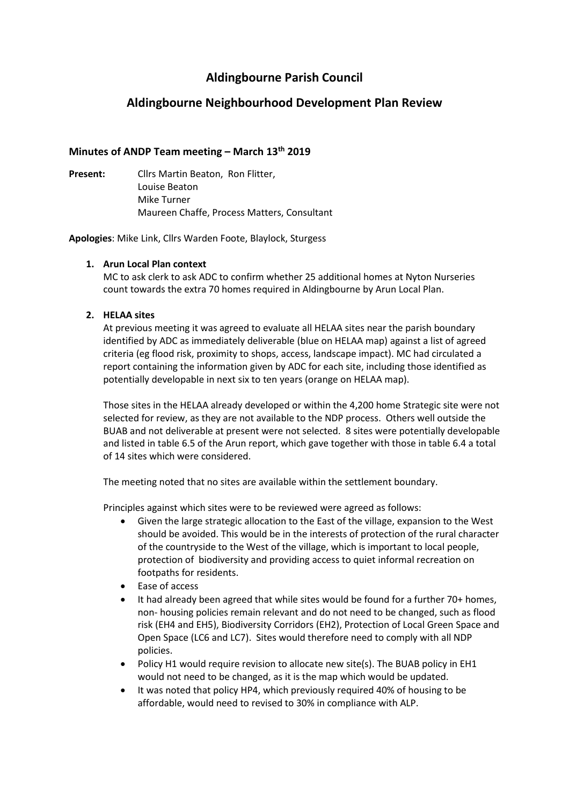# **Aldingbourne Parish Council**

# **Aldingbourne Neighbourhood Development Plan Review**

## **Minutes of ANDP Team meeting – March 13th 2019**

**Present:** Cllrs Martin Beaton, Ron Flitter, Louise Beaton Mike Turner Maureen Chaffe, Process Matters, Consultant

**Apologies**: Mike Link, Cllrs Warden Foote, Blaylock, Sturgess

### **1. Arun Local Plan context**

MC to ask clerk to ask ADC to confirm whether 25 additional homes at Nyton Nurseries count towards the extra 70 homes required in Aldingbourne by Arun Local Plan.

### **2. HELAA sites**

At previous meeting it was agreed to evaluate all HELAA sites near the parish boundary identified by ADC as immediately deliverable (blue on HELAA map) against a list of agreed criteria (eg flood risk, proximity to shops, access, landscape impact). MC had circulated a report containing the information given by ADC for each site, including those identified as potentially developable in next six to ten years (orange on HELAA map).

Those sites in the HELAA already developed or within the 4,200 home Strategic site were not selected for review, as they are not available to the NDP process. Others well outside the BUAB and not deliverable at present were not selected. 8 sites were potentially developable and listed in table 6.5 of the Arun report, which gave together with those in table 6.4 a total of 14 sites which were considered.

The meeting noted that no sites are available within the settlement boundary.

Principles against which sites were to be reviewed were agreed as follows:

- Given the large strategic allocation to the East of the village, expansion to the West should be avoided. This would be in the interests of protection of the rural character of the countryside to the West of the village, which is important to local people, protection of biodiversity and providing access to quiet informal recreation on footpaths for residents.
- Ease of access
- It had already been agreed that while sites would be found for a further 70+ homes, non- housing policies remain relevant and do not need to be changed, such as flood risk (EH4 and EH5), Biodiversity Corridors (EH2), Protection of Local Green Space and Open Space (LC6 and LC7). Sites would therefore need to comply with all NDP policies.
- Policy H1 would require revision to allocate new site(s). The BUAB policy in EH1 would not need to be changed, as it is the map which would be updated.
- It was noted that policy HP4, which previously required 40% of housing to be affordable, would need to revised to 30% in compliance with ALP.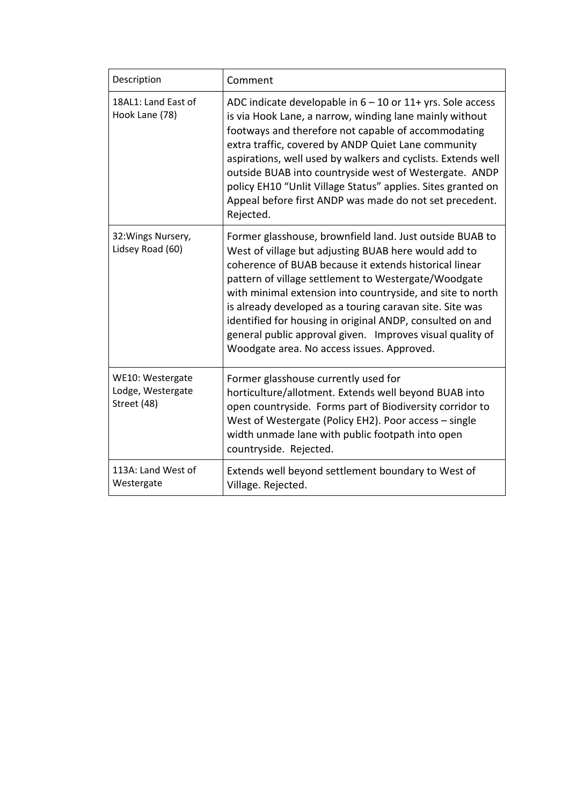| Description                                          | Comment                                                                                                                                                                                                                                                                                                                                                                                                                                                                                                                              |
|------------------------------------------------------|--------------------------------------------------------------------------------------------------------------------------------------------------------------------------------------------------------------------------------------------------------------------------------------------------------------------------------------------------------------------------------------------------------------------------------------------------------------------------------------------------------------------------------------|
| 18AL1: Land East of<br>Hook Lane (78)                | ADC indicate developable in $6 - 10$ or $11 +$ yrs. Sole access<br>is via Hook Lane, a narrow, winding lane mainly without<br>footways and therefore not capable of accommodating<br>extra traffic, covered by ANDP Quiet Lane community<br>aspirations, well used by walkers and cyclists. Extends well<br>outside BUAB into countryside west of Westergate. ANDP<br>policy EH10 "Unlit Village Status" applies. Sites granted on<br>Appeal before first ANDP was made do not set precedent.<br>Rejected.                           |
| 32: Wings Nursery,<br>Lidsey Road (60)               | Former glasshouse, brownfield land. Just outside BUAB to<br>West of village but adjusting BUAB here would add to<br>coherence of BUAB because it extends historical linear<br>pattern of village settlement to Westergate/Woodgate<br>with minimal extension into countryside, and site to north<br>is already developed as a touring caravan site. Site was<br>identified for housing in original ANDP, consulted on and<br>general public approval given. Improves visual quality of<br>Woodgate area. No access issues. Approved. |
| WE10: Westergate<br>Lodge, Westergate<br>Street (48) | Former glasshouse currently used for<br>horticulture/allotment. Extends well beyond BUAB into<br>open countryside. Forms part of Biodiversity corridor to<br>West of Westergate (Policy EH2). Poor access - single<br>width unmade lane with public footpath into open<br>countryside. Rejected.                                                                                                                                                                                                                                     |
| 113A: Land West of<br>Westergate                     | Extends well beyond settlement boundary to West of<br>Village. Rejected.                                                                                                                                                                                                                                                                                                                                                                                                                                                             |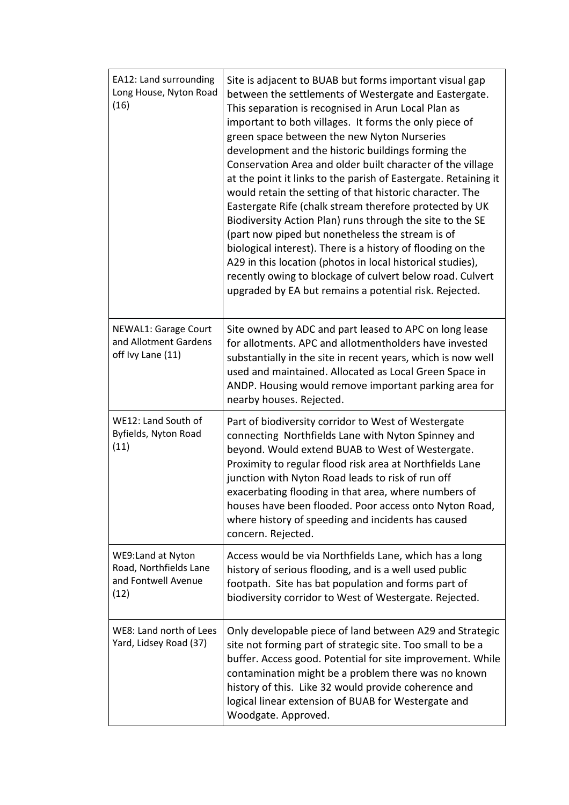| EA12: Land surrounding<br>Long House, Nyton Road<br>(16)                   | Site is adjacent to BUAB but forms important visual gap<br>between the settlements of Westergate and Eastergate.<br>This separation is recognised in Arun Local Plan as<br>important to both villages. It forms the only piece of<br>green space between the new Nyton Nurseries<br>development and the historic buildings forming the<br>Conservation Area and older built character of the village<br>at the point it links to the parish of Eastergate. Retaining it<br>would retain the setting of that historic character. The<br>Eastergate Rife (chalk stream therefore protected by UK<br>Biodiversity Action Plan) runs through the site to the SE<br>(part now piped but nonetheless the stream is of<br>biological interest). There is a history of flooding on the<br>A29 in this location (photos in local historical studies),<br>recently owing to blockage of culvert below road. Culvert<br>upgraded by EA but remains a potential risk. Rejected. |
|----------------------------------------------------------------------------|---------------------------------------------------------------------------------------------------------------------------------------------------------------------------------------------------------------------------------------------------------------------------------------------------------------------------------------------------------------------------------------------------------------------------------------------------------------------------------------------------------------------------------------------------------------------------------------------------------------------------------------------------------------------------------------------------------------------------------------------------------------------------------------------------------------------------------------------------------------------------------------------------------------------------------------------------------------------|
| <b>NEWAL1: Garage Court</b><br>and Allotment Gardens<br>off Ivy Lane (11)  | Site owned by ADC and part leased to APC on long lease<br>for allotments. APC and allotmentholders have invested<br>substantially in the site in recent years, which is now well<br>used and maintained. Allocated as Local Green Space in<br>ANDP. Housing would remove important parking area for<br>nearby houses. Rejected.                                                                                                                                                                                                                                                                                                                                                                                                                                                                                                                                                                                                                                     |
| WE12: Land South of<br>Byfields, Nyton Road<br>(11)                        | Part of biodiversity corridor to West of Westergate<br>connecting Northfields Lane with Nyton Spinney and<br>beyond. Would extend BUAB to West of Westergate.<br>Proximity to regular flood risk area at Northfields Lane<br>junction with Nyton Road leads to risk of run off<br>exacerbating flooding in that area, where numbers of<br>houses have been flooded. Poor access onto Nyton Road,<br>where history of speeding and incidents has caused<br>concern. Rejected.                                                                                                                                                                                                                                                                                                                                                                                                                                                                                        |
| WE9:Land at Nyton<br>Road, Northfields Lane<br>and Fontwell Avenue<br>(12) | Access would be via Northfields Lane, which has a long<br>history of serious flooding, and is a well used public<br>footpath. Site has bat population and forms part of<br>biodiversity corridor to West of Westergate. Rejected.                                                                                                                                                                                                                                                                                                                                                                                                                                                                                                                                                                                                                                                                                                                                   |
| WE8: Land north of Lees<br>Yard, Lidsey Road (37)                          | Only developable piece of land between A29 and Strategic<br>site not forming part of strategic site. Too small to be a<br>buffer. Access good. Potential for site improvement. While<br>contamination might be a problem there was no known<br>history of this. Like 32 would provide coherence and<br>logical linear extension of BUAB for Westergate and<br>Woodgate. Approved.                                                                                                                                                                                                                                                                                                                                                                                                                                                                                                                                                                                   |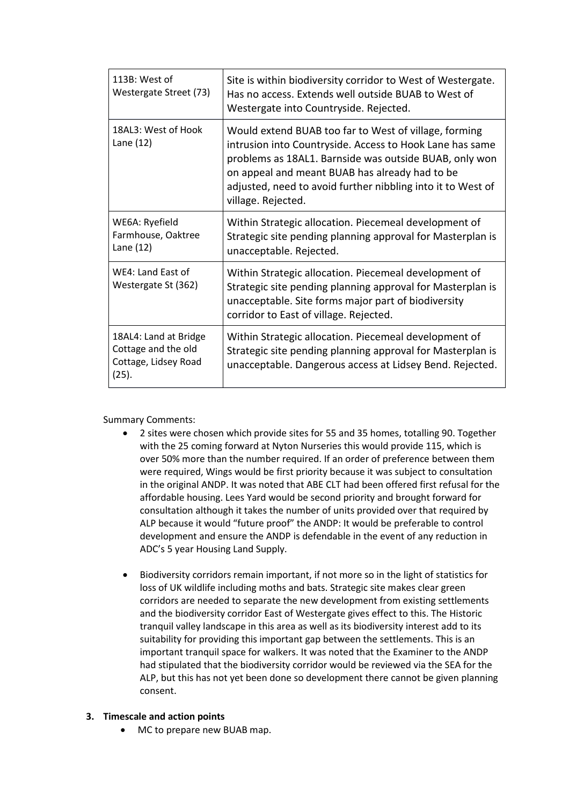| 113B: West of<br>Westergate Street (73)                                       | Site is within biodiversity corridor to West of Westergate.<br>Has no access. Extends well outside BUAB to West of<br>Westergate into Countryside. Rejected.                                                                                                                                                       |
|-------------------------------------------------------------------------------|--------------------------------------------------------------------------------------------------------------------------------------------------------------------------------------------------------------------------------------------------------------------------------------------------------------------|
| 18AL3: West of Hook<br>Lane $(12)$                                            | Would extend BUAB too far to West of village, forming<br>intrusion into Countryside. Access to Hook Lane has same<br>problems as 18AL1. Barnside was outside BUAB, only won<br>on appeal and meant BUAB has already had to be<br>adjusted, need to avoid further nibbling into it to West of<br>village. Rejected. |
| WE6A: Ryefield<br>Farmhouse, Oaktree<br>Lane (12)                             | Within Strategic allocation. Piecemeal development of<br>Strategic site pending planning approval for Masterplan is<br>unacceptable. Rejected.                                                                                                                                                                     |
| WE4: Land East of<br>Westergate St (362)                                      | Within Strategic allocation. Piecemeal development of<br>Strategic site pending planning approval for Masterplan is<br>unacceptable. Site forms major part of biodiversity<br>corridor to East of village. Rejected.                                                                                               |
| 18AL4: Land at Bridge<br>Cottage and the old<br>Cottage, Lidsey Road<br>(25). | Within Strategic allocation. Piecemeal development of<br>Strategic site pending planning approval for Masterplan is<br>unacceptable. Dangerous access at Lidsey Bend. Rejected.                                                                                                                                    |

Summary Comments:

- 2 sites were chosen which provide sites for 55 and 35 homes, totalling 90. Together with the 25 coming forward at Nyton Nurseries this would provide 115, which is over 50% more than the number required. If an order of preference between them were required, Wings would be first priority because it was subject to consultation in the original ANDP. It was noted that ABE CLT had been offered first refusal for the affordable housing. Lees Yard would be second priority and brought forward for consultation although it takes the number of units provided over that required by ALP because it would "future proof" the ANDP: It would be preferable to control development and ensure the ANDP is defendable in the event of any reduction in ADC's 5 year Housing Land Supply.
- Biodiversity corridors remain important, if not more so in the light of statistics for loss of UK wildlife including moths and bats. Strategic site makes clear green corridors are needed to separate the new development from existing settlements and the biodiversity corridor East of Westergate gives effect to this. The Historic tranquil valley landscape in this area as well as its biodiversity interest add to its suitability for providing this important gap between the settlements. This is an important tranquil space for walkers. It was noted that the Examiner to the ANDP had stipulated that the biodiversity corridor would be reviewed via the SEA for the ALP, but this has not yet been done so development there cannot be given planning consent.
- **3. Timescale and action points**
	- MC to prepare new BUAB map.